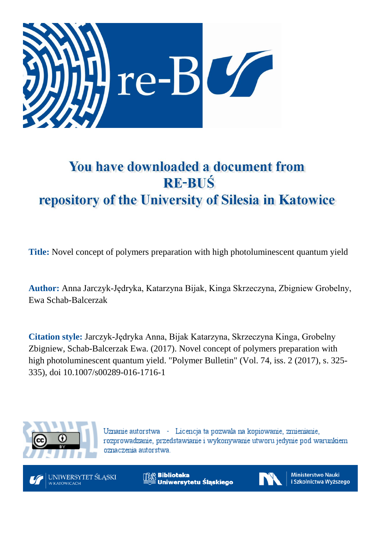

# You have downloaded a document from **RE-BUŚ** repository of the University of Silesia in Katowice

**Title:** Novel concept of polymers preparation with high photoluminescent quantum yield

**Author:** Anna Jarczyk-Jędryka, Katarzyna Bijak, Kinga Skrzeczyna, Zbigniew Grobelny, Ewa Schab-Balcerzak

**Citation style:** Jarczyk-Jędryka Anna, Bijak Katarzyna, Skrzeczyna Kinga, Grobelny Zbigniew, Schab-Balcerzak Ewa. (2017). Novel concept of polymers preparation with high photoluminescent quantum yield. "Polymer Bulletin" (Vol. 74, iss. 2 (2017), s. 325- 335), doi 10.1007/s00289-016-1716-1



Uznanie autorstwa - Licencja ta pozwala na kopiowanie, zmienianie, rozprowadzanie, przedstawianie i wykonywanie utworu jedynie pod warunkiem oznaczenia autorstwa.



**Biblioteka** Uniwersytetu Śląskiego



**Ministerstwo Nauki** i Szkolnictwa Wyższego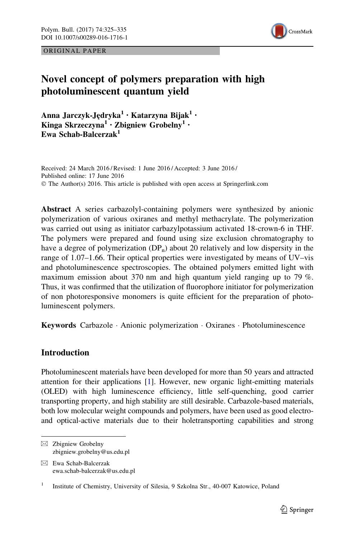ORIGINAL PAPER



# Novel concept of polymers preparation with high photoluminescent quantum yield

Anna Jarczyk-Jędryka<sup>1</sup> • Katarzyna Bijak<sup>1</sup> • Kinga Skrzeczyna<sup>1</sup> · Zbigniew Grobelny<sup>1</sup> · Ewa Schab-Balcerzak<sup>1</sup>

Received: 24 March 2016 / Revised: 1 June 2016 / Accepted: 3 June 2016 / Published online: 17 June 2016 © The Author(s) 2016. This article is published with open access at Springerlink.com

Abstract A series carbazolyl-containing polymers were synthesized by anionic polymerization of various oxiranes and methyl methacrylate. The polymerization was carried out using as initiator carbazylpotassium activated 18-crown-6 in THF. The polymers were prepared and found using size exclusion chromatography to have a degree of polymerization  $(DP_n)$  about 20 relatively and low dispersity in the range of 1.07–1.66. Their optical properties were investigated by means of UV–vis and photoluminescence spectroscopies. The obtained polymers emitted light with maximum emission about 370 nm and high quantum yield ranging up to 79 %. Thus, it was confirmed that the utilization of fluorophore initiator for polymerization of non photoresponsive monomers is quite efficient for the preparation of photoluminescent polymers.

Keywords Carbazole - Anionic polymerization - Oxiranes - Photoluminescence

# **Introduction**

Photoluminescent materials have been developed for more than 50 years and attracted attention for their applications [\[1](#page-10-0)]. However, new organic light-emitting materials (OLED) with high luminescence efficiency, little self-quenching, good carrier transporting property, and high stability are still desirable. Carbazole-based materials, both low molecular weight compounds and polymers, have been used as good electroand optical-active materials due to their holetransporting capabilities and strong

 $\boxtimes$  Ewa Schab-Balcerzak ewa.schab-balcerzak@us.edu.pl

 $\boxtimes$  Zbigniew Grobelny zbigniew.grobelny@us.edu.pl

<sup>&</sup>lt;sup>1</sup> Institute of Chemistry, University of Silesia, 9 Szkolna Str., 40-007 Katowice, Poland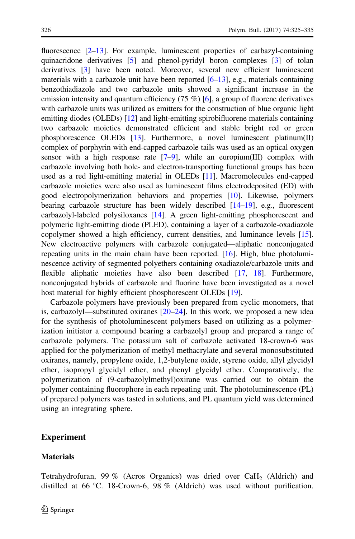fluorescence  $[2-13]$ . For example, luminescent properties of carbazyl-containing quinacridone derivatives [[5\]](#page-10-0) and phenol-pyridyl boron complexes [\[3\]](#page-10-0) of tolan derivatives [[3](#page-10-0)] have been noted. Moreover, several new efficient luminescent materials with a carbazole unit have been reported  $[6–13]$  $[6–13]$  $[6–13]$ , e.g., materials containing benzothiadiazole and two carbazole units showed a significant increase in the emission intensity and quantum efficiency  $(75 \%)$  [[6\]](#page-10-0), a group of fluorene derivatives with carbazole units was utilized as emitters for the construction of blue organic light emitting diodes (OLEDs) [\[12\]](#page-10-0) and light-emitting spirobifluorene materials containing two carbazole moieties demonstrated efficient and stable bright red or green phosphorescence OLEDs [\[13\]](#page-10-0). Furthermore, a novel luminescent platinum(II) complex of porphyrin with end-capped carbazole tails was used as an optical oxygen sensor with a high response rate  $[7-9]$ , while an europium(III) complex with carbazole involving both hole- and electron-transporting functional groups has been used as a red light-emitting material in OLEDs [\[11\]](#page-10-0). Macromolecules end-capped carbazole moieties were also used as luminescent films electrodeposited (ED) with good electropolymerization behaviors and properties [[10](#page-10-0)]. Likewise, polymers bearing carbazole structure has been widely described [\[14–](#page-10-0)[19\]](#page-11-0), e.g., fluorescent carbazolyl-labeled polysiloxanes [\[14](#page-10-0)]. A green light-emitting phosphorescent and polymeric light-emitting diode (PLED), containing a layer of a carbazole-oxadiazole

copolymer showed a high efficiency, current densities, and luminance levels [[15\]](#page-10-0). New electroactive polymers with carbazole conjugated—aliphatic nonconjugated repeating units in the main chain have been reported. [\[16](#page-10-0)]. High, blue photoluminescence activity of segmented polyethers containing oxadiazole/carbazole units and flexible aliphatic moieties have also been described [\[17,](#page-11-0) [18\]](#page-11-0). Furthermore, nonconjugated hybrids of carbazole and fluorine have been investigated as a novel host material for highly efficient phosphorescent OLEDs [\[19\]](#page-11-0).

Carbazole polymers have previously been prepared from cyclic monomers, that is, carbazolyl—substituted oxiranes [[20–24\]](#page-11-0). In this work, we proposed a new idea for the synthesis of photoluminescent polymers based on utilizing as a polymerization initiator a compound bearing a carbazolyl group and prepared a range of carbazole polymers. The potassium salt of carbazole activated 18-crown-6 was applied for the polymerization of methyl methacrylate and several monosubstituted oxiranes, namely, propylene oxide, 1,2-butylene oxide, styrene oxide, allyl glycidyl ether, isopropyl glycidyl ether, and phenyl glycidyl ether. Comparatively, the polymerization of (9-carbazolylmethyl)oxirane was carried out to obtain the polymer containing fluorophore in each repeating unit. The photoluminescence (PL) of prepared polymers was tasted in solutions, and PL quantum yield was determined using an integrating sphere.

# Experiment

### **Materials**

Tetrahydrofuran, 99 % (Acros Organics) was dried over  $CaH<sub>2</sub>$  (Aldrich) and distilled at 66 °C. 18-Crown-6, 98 % (Aldrich) was used without purification.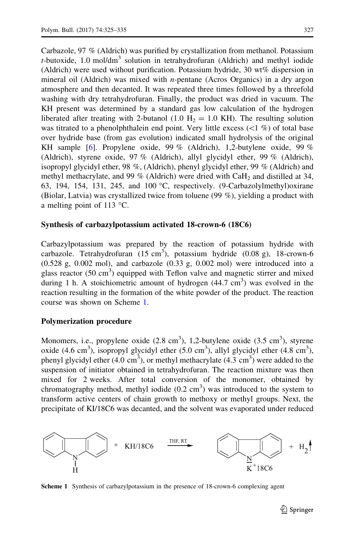Carbazole, 97 % (Aldrich) was purified by crystallization from methanol. Potassium t-butoxide, 1.0 mol/dm<sup>3</sup> solution in tetrahydrofuran (Aldrich) and methyl iodide (Aldrich) were used without purification. Potassium hydride, 30 wt% dispersion in mineral oil (Aldrich) was mixed with *n*-pentane (Acros Organics) in a dry argon atmosphere and then decanted. It was repeated three times followed by a threefold washing with dry tetrahydrofuran. Finally, the product was dried in vacuum. The KH present was determined by a standard gas low calculation of the hydrogen liberated after treating with 2-butanol (1.0  $H_2 = 1.0$  KH). The resulting solution was titrated to a phenolphthalein end point. Very little excess  $(\leq 1 \%)$  of total base over hydride base (from gas evolution) indicated small hydrolysis of the original KH sample [[6\]](#page-10-0). Propylene oxide, 99 % (Aldrich), 1,2-butylene oxide, 99 % (Aldrich), styrene oxide, 97 % (Aldrich), allyl glycidyl ether, 99 % (Aldrich), isopropyl glycidyl ether, 98 %, (Aldrich), phenyl glycidyl ether, 99 % (Aldrich) and methyl methacrylate, and 99 % (Aldrich) were dried with  $CaH<sub>2</sub>$  and distilled at 34, 63, 194, 154, 131, 245, and 100  $\degree$ C, respectively. (9-Carbazolylmethyl) oxirane (Biolar, Latvia) was crystallized twice from toluene (99 %), yielding a product with a melting point of 113  $^{\circ}$ C.

#### Synthesis of carbazylpotassium activated 18-crown-6 (18C6)

Carbazylpotassium was prepared by the reaction of potassium hydride with carbazole. Tetrahydrofuran  $(15 \text{ cm}^3)$ , potassium hydride  $(0.08 \text{ g})$ , 18-crown-6 (0.528 g, 0.002 mol), and carbazole (0.33 g, 0.002 mol) were introduced into a glass reactor  $(50 \text{ cm}^3)$  equipped with Teflon valve and magnetic stirrer and mixed during 1 h. A stoichiometric amount of hydrogen  $(44.7 \text{ cm}^3)$  was evolved in the reaction resulting in the formation of the white powder of the product. The reaction course was shown on Scheme 1.

#### Polymerization procedure

Monomers, i.e., propylene oxide  $(2.8 \text{ cm}^3)$ , 1,2-butylene oxide  $(3.5 \text{ cm}^3)$ , styrene oxide (4.6 cm<sup>3</sup>), isopropyl glycidyl ether (5.0 cm<sup>3</sup>), allyl glycidyl ether (4.8 cm<sup>3</sup>), phenyl glycidyl ether  $(4.0 \text{ cm}^3)$ , or methyl methacrylate  $(4.3 \text{ cm}^3)$  were added to the suspension of initiator obtained in tetrahydrofuran. The reaction mixture was then mixed for 2 weeks. After total conversion of the monomer, obtained by chromatography method, methyl iodide  $(0.2 \text{ cm}^3)$  was introduced to the system to transform active centers of chain growth to methoxy or methyl groups. Next, the precipitate of KI/18C6 was decanted, and the solvent was evaporated under reduced



Scheme 1 Synthesis of carbazylpotassium in the presence of 18-crown-6 complexing agent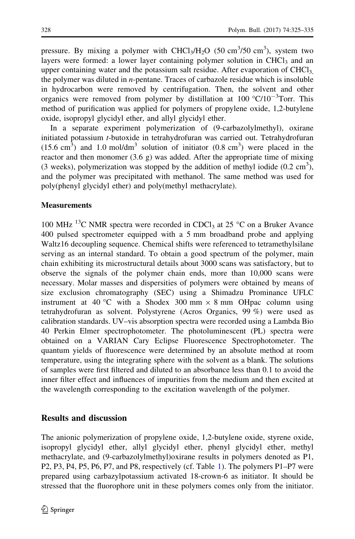pressure. By mixing a polymer with  $CHCl<sub>3</sub>/H<sub>2</sub>O$  (50 cm<sup>3</sup>/50 cm<sup>3</sup>), system two layers were formed: a lower layer containing polymer solution in CHCl<sub>3</sub> and an upper containing water and the potassium salt residue. After evaporation of  $CHCl<sub>3</sub>$ , the polymer was diluted in n-pentane. Traces of carbazole residue which is insoluble in hydrocarbon were removed by centrifugation. Then, the solvent and other organics were removed from polymer by distillation at  $100 \degree C/10^{-3}$ Torr. This method of purification was applied for polymers of propylene oxide, 1,2-butylene oxide, isopropyl glycidyl ether, and allyl glycidyl ether.

In a separate experiment polymerization of (9-carbazolylmethyl), oxirane initiated potassium t-butoxide in tetrahydrofuran was carried out. Tetrahydrofuran  $(15.6 \text{ cm}^3)$  and 1.0 mol/dm<sup>3</sup> solution of initiator  $(0.8 \text{ cm}^3)$  were placed in the reactor and then monomer (3.6 g) was added. After the appropriate time of mixing (3 weeks), polymerization was stopped by the addition of methyl iodide  $(0.2 \text{ cm}^3)$ , and the polymer was precipitated with methanol. The same method was used for poly(phenyl glycidyl ether) and poly(methyl methacrylate).

### **Measurements**

100 MHz <sup>13</sup>C NMR spectra were recorded in CDCl<sub>3</sub> at 25 °C on a Bruker Avance 400 pulsed spectrometer equipped with a 5 mm broadband probe and applying Waltz16 decoupling sequence. Chemical shifts were referenced to tetramethylsilane serving as an internal standard. To obtain a good spectrum of the polymer, main chain exhibiting its microstructural details about 3000 scans was satisfactory, but to observe the signals of the polymer chain ends, more than 10,000 scans were necessary. Molar masses and dispersities of polymers were obtained by means of size exclusion chromatography (SEC) using a Shimadzu Prominance UFLC instrument at 40 °C with a Shodex 300 mm  $\times$  8 mm OHpac column using tetrahydrofuran as solvent. Polystyrene (Acros Organics, 99 %) were used as calibration standards. UV–vis absorption spectra were recorded using a Lambda Bio 40 Perkin Elmer spectrophotometer. The photoluminescent (PL) spectra were obtained on a VARIAN Cary Eclipse Fluorescence Spectrophotometer. The quantum yields of fluorescence were determined by an absolute method at room temperature, using the integrating sphere with the solvent as a blank. The solutions of samples were first filtered and diluted to an absorbance less than 0.1 to avoid the inner filter effect and influences of impurities from the medium and then excited at the wavelength corresponding to the excitation wavelength of the polymer.

# Results and discussion

The anionic polymerization of propylene oxide, 1,2-butylene oxide, styrene oxide, isopropyl glycidyl ether, allyl glycidyl ether, phenyl glycidyl ether, methyl methacrylate, and (9-carbazolylmethyl)oxirane results in polymers denoted as P1, P2, P3, P4, P5, P6, P7, and P8, respectively (cf. Table [1](#page-5-0)). The polymers P1–P7 were prepared using carbazylpotassium activated 18-crown-6 as initiator. It should be stressed that the fluorophore unit in these polymers comes only from the initiator.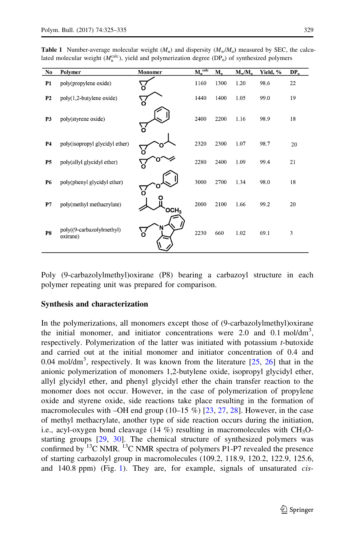<span id="page-5-0"></span>

| No             | Polymer                               | Monomer | $M_n^{\text{ calc}}$ | $M_{n}$ | $M_w/M_n$ | Yield, % | DP. |
|----------------|---------------------------------------|---------|----------------------|---------|-----------|----------|-----|
| P1             | poly(propylene oxide)                 | `o      | 1160                 | 1300    | 1.20      | 98.6     | 22  |
| P <sub>2</sub> | $poly(1,2$ -butylene oxide)           | `ბ      | 1440                 | 1400    | 1.05      | 99.0     | 19  |
| P3             | poly(styrene oxide)                   | ်ဝ      | 2400                 | 2200    | 1.16      | 98.9     | 18  |
| P4             | poly(isopropyl glycidyl ether)        | Ö       | 2320                 | 2300    | 1.07      | 98.7     | 20  |
| <b>P5</b>      | poly(allyl glycidyl ether)            | О       | 2280                 | 2400    | 1.09      | 99.4     | 21  |
| P6             | poly(phenyl glycidyl ether)           | Ο       | 3000                 | 2700    | 1.34      | 98.0     | 18  |
| P7             | poly(methyl methacrylate)             | осн.    | 2000                 | 2100    | 1.66      | 99.2     | 20  |
| <b>P8</b>      | poly((9-carbazolylmethyl)<br>oxirane) | ১       | 2230                 | 660     | 1.02      | 69.1     | 3   |

Poly (9-carbazolylmethyl)oxirane (P8) bearing a carbazoyl structure in each polymer repeating unit was prepared for comparison.

#### Synthesis and characterization

In the polymerizations, all monomers except those of (9-carbazolylmethyl)oxirane the initial monomer, and initiator concentrations were 2.0 and 0.1 mol/dm<sup>3</sup>, respectively. Polymerization of the latter was initiated with potassium t-butoxide and carried out at the initial monomer and initiator concentration of 0.4 and 0.04 mol/dm<sup>3</sup>, respectively. It was known from the literature  $[25, 26]$  $[25, 26]$  $[25, 26]$  $[25, 26]$  $[25, 26]$  that in the anionic polymerization of monomers 1,2-butylene oxide, isopropyl glycidyl ether, allyl glycidyl ether, and phenyl glycidyl ether the chain transfer reaction to the monomer does not occur. However, in the case of polymerization of propylene oxide and styrene oxide, side reactions take place resulting in the formation of macromolecules with –OH end group  $(10-15\%)$  [[23,](#page-11-0) [27,](#page-11-0) [28](#page-11-0)]. However, in the case of methyl methacrylate, another type of side reaction occurs during the initiation, i.e., acyl-oxygen bond cleavage  $(14\%)$  resulting in macromolecules with CH<sub>3</sub>Ostarting groups [\[29](#page-11-0), [30](#page-11-0)]. The chemical structure of synthesized polymers was confirmed by <sup>13</sup>C NMR. <sup>13</sup>C NMR spectra of polymers P1-P7 revealed the presence of starting carbazolyl group in macromolecules (109.2, 118.9, 120.2, 122.9, 125.6, and [1](#page-6-0)40.8 ppm) (Fig. 1). They are, for example, signals of unsaturated *cis*-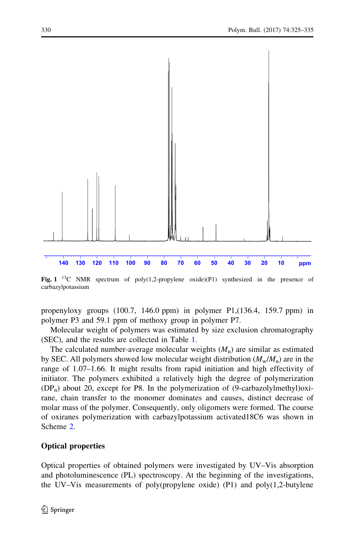<span id="page-6-0"></span>

Fig.  $1^{13}$ C NMR spectrum of poly(1,2-propylene oxide)(P1) synthesized in the presence of carbazylpotassium

propenyloxy groups (100.7, 146.0 ppm) in polymer P1,(136.4, 159.7 ppm) in polymer P3 and 59.1 ppm of methoxy group in polymer P7.

Molecular weight of polymers was estimated by size exclusion chromatography (SEC), and the results are collected in Table [1](#page-5-0).

The calculated number-average molecular weights  $(M_n)$  are similar as estimated by SEC. All polymers showed low molecular weight distribution  $(M_w/M_n)$  are in the range of 1.07–1.66. It might results from rapid initiation and high effectivity of initiator. The polymers exhibited a relatively high the degree of polymerization  $(DP_n)$  about 20, except for P8. In the polymerization of (9-carbazolylmethyl)oxirane, chain transfer to the monomer dominates and causes, distinct decrease of molar mass of the polymer. Consequently, only oligomers were formed. The course of oxiranes polymerization with carbazylpotassium activated18C6 was shown in Scheme [2.](#page-7-0)

#### Optical properties

Optical properties of obtained polymers were investigated by UV–Vis absorption and photoluminescence (PL) spectroscopy. At the beginning of the investigations, the UV–Vis measurements of poly(propylene oxide) (P1) and poly(1,2-butylene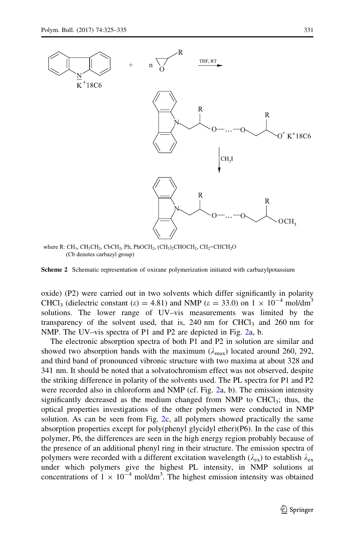<span id="page-7-0"></span>

where R: CH<sub>3</sub>, CH<sub>2</sub>CH<sub>2</sub>, CbCH<sub>2</sub>, Ph, PhOCH<sub>2</sub>, (CH<sub>3</sub>)<sub>2</sub>CHOCH<sub>2</sub>, CH<sub>2</sub>=CHCH<sub>2</sub>O (Cb denotes carbazyl group)

Scheme 2 Schematic representation of oxirane polymerization initiated with carbazylpotassium

oxide) (P2) were carried out in two solvents which differ significantly in polarity CHCl<sub>3</sub> (dielectric constant ( $\varepsilon$ ) = 4.81) and NMP ( $\varepsilon$  = 33.0) on 1  $\times$  10<sup>-4</sup> mol/dm<sup>3</sup> solutions. The lower range of UV–vis measurements was limited by the transparency of the solvent used, that is,  $240 \text{ nm}$  for CHCl<sub>3</sub> and 260 nm for NMP. The UV–vis spectra of P1 and P2 are depicted in Fig. [2](#page-8-0)a, b.

The electronic absorption spectra of both P1 and P2 in solution are similar and showed two absorption bands with the maximum ( $\lambda_{\text{max}}$ ) located around 260, 292, and third band of pronounced vibronic structure with two maxima at about 328 and 341 nm. It should be noted that a solvatochromism effect was not observed, despite the striking difference in polarity of the solvents used. The PL spectra for P1 and P2 were recorded also in chloroform and NMP (cf. Fig. [2a](#page-8-0), b). The emission intensity significantly decreased as the medium changed from NMP to CHCl<sub>3</sub>; thus, the optical properties investigations of the other polymers were conducted in NMP solution. As can be seen from Fig. [2c](#page-8-0), all polymers showed practically the same absorption properties except for poly(phenyl glycidyl ether)(P6). In the case of this polymer, P6, the differences are seen in the high energy region probably because of the presence of an additional phenyl ring in their structure. The emission spectra of polymers were recorded with a different excitation wavelength ( $\lambda_{ex}$ ) to establish  $\lambda_{ex}$ under which polymers give the highest PL intensity, in NMP solutions at concentrations of  $1 \times 10^{-4}$  mol/dm<sup>3</sup>. The highest emission intensity was obtained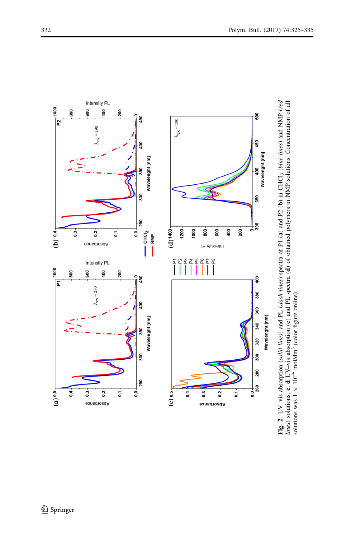<span id="page-8-0"></span>

lines) solutions. c, d UV-vis absorption (c) and PL spectra (d) of obtained polymers in NMP solutions. Concentration of all Fig. 2 UV–vis absorption (solid lines) and PL (dash lines) spectra of P1 (a) and P2 (b) in CHCl3 (blue lines) and NMP (red lines) solutions. c,  $d$  UV–vis absorption (c) and PL spectra (d) of obtained polymers in NMP solutions. Concentration of all solutions was  $1 \times 10^{-4}$  mol/dm<sup>3</sup> (color figure online) solutions was  $1 \times 10^{-4}$  mol/dm<sup>3</sup> (color figure online)

<sup>2</sup> Springer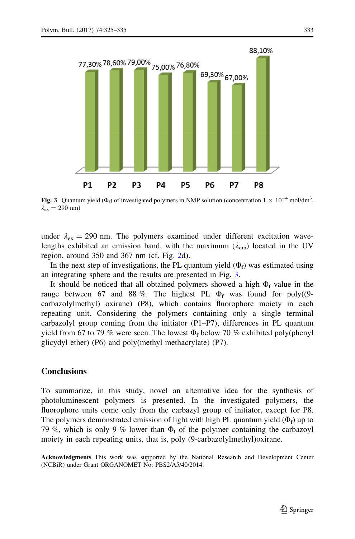

**Fig. 3** Quantum yield ( $\Phi_f$ ) of investigated polymers in NMP solution (concentration  $1 \times 10^{-4}$  mol/dm<sup>3</sup>,  $\lambda_{\rm ex} = 290$  nm)

under  $\lambda_{\text{ex}} = 290$  nm. The polymers examined under different excitation wavelengths exhibited an emission band, with the maximum ( $\lambda_{\rm{em}}$ ) located in the UV region, around 350 and 367 nm (cf. Fig. [2d](#page-8-0)).

In the next step of investigations, the PL quantum yield  $(\Phi_f)$  was estimated using an integrating sphere and the results are presented in Fig. 3.

It should be noticed that all obtained polymers showed a high  $\Phi_f$  value in the range between 67 and 88 %. The highest PL  $\Phi_f$  was found for poly((9carbazolylmethyl) oxirane) (P8), which contains fluorophore moiety in each repeating unit. Considering the polymers containing only a single terminal carbazolyl group coming from the initiator (P1–P7), differences in PL quantum yield from 67 to 79 % were seen. The lowest  $\Phi_f$  below 70 % exhibited poly(phenyl glicydyl ether) (P6) and poly(methyl methacrylate) (P7).

#### **Conclusions**

To summarize, in this study, novel an alternative idea for the synthesis of photoluminescent polymers is presented. In the investigated polymers, the fluorophore units come only from the carbazyl group of initiator, except for P8. The polymers demonstrated emission of light with high PL quantum yield  $(\Phi_f)$  up to 79 %, which is only 9 % lower than  $\Phi_f$  of the polymer containing the carbazoyl moiety in each repeating units, that is, poly (9-carbazolylmethyl)oxirane.

Acknowledgments This work was supported by the National Research and Development Center (NCBiR) under Grant ORGANOMET No: PBS2/A5/40/2014.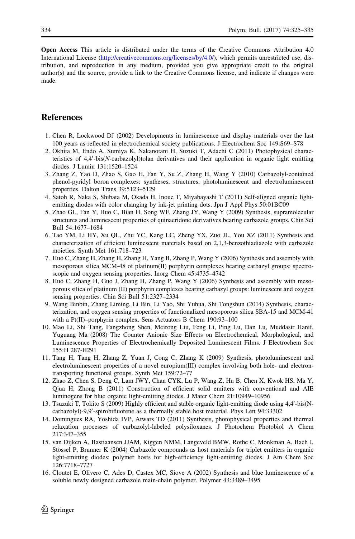<span id="page-10-0"></span>Open Access This article is distributed under the terms of the Creative Commons Attribution 4.0 International License ([http://creativecommons.org/licenses/by/4.0/\)](http://creativecommons.org/licenses/by/4.0/), which permits unrestricted use, distribution, and reproduction in any medium, provided you give appropriate credit to the original author(s) and the source, provide a link to the Creative Commons license, and indicate if changes were made.

#### **References**

- 1. Chen R, Lockwood DJ (2002) Developments in luminescence and display materials over the last 100 years as reflected in electrochemical society publications. J Electrochem Soc 149:S69–S78
- 2. Okhita M, Endo A, Sumiya K, Nakanotani H, Suzuki T, Adachi C (2011) Photophysical characteristics of 4,4'-bis(N-carbazolyl)tolan derivatives and their application in organic light emitting diodes. J Lumin 131:1520–1524
- 3. Zhang Z, Yao D, Zhao S, Gao H, Fan Y, Su Z, Zhang H, Wang Y (2010) Carbazolyl-contained phenol-pyridyl boron complexes: syntheses, structures, photoluminescent and electroluminescent properties. Dalton Trans 39:5123–5129
- 4. Satoh R, Naka S, Shibata M, Okada H, Inoue T, Miyabayashi T (2011) Self-aligned organic lightemitting diodes with color changing by ink-jet printing dots. Jpn J Appl Phys 50:01BC09
- 5. Zhao GL, Fan Y, Huo C, Bian H, Song WF, Zhang JY, Wang Y (2009) Synthesis, supramolecular structures and luminescent properties of quinacridone derivatives bearing carbazole groups. Chin Sci Bull 54:1677–1684
- 6. Tao YM, Li HY, Xu QL, Zhu YC, Kang LC, Zheng YX, Zuo JL, You XZ (2011) Synthesis and characterization of efficient luminescent materials based on 2,1,3-benzothiadiazole with carbazole moieties. Synth Met 161:718–723
- 7. Huo C, Zhang H, Zhang H, Zhang H, Yang B, Zhang P, Wang Y (2006) Synthesis and assembly with mesoporous silica MCM-48 of platinum(II) porphyrin complexes bearing carbazyl groups: spectroscopic and oxygen sensing properties. Inorg Chem 45:4735–4742
- 8. Huo C, Zhang H, Guo J, Zhang H, Zhang P, Wang Y (2006) Synthesis and assembly with mesoporous silica of platinum (II) porphyrin complexes bearing carbazyl groups: luminescent and oxygen sensing properties. Chin Sci Bull 51:2327–2334
- 9. Wang Binbin, Zhang Liming, Li Bin, Li Yao, Shi Yuhua, Shi Tongshun (2014) Synthesis, characterization, and oxygen sensing properties of functionalized mesoporous silica SBA-15 and MCM-41 with a Pt(II)–porphyrin complex. Sens Actuators B Chem 190:93–100
- 10. Mao Li, Shi Tang, Fangzhong Shen, Meirong Liu, Feng Li, Ping Lu, Dan Lu, Muddasir Hanif, Yuguang Ma (2008) The Counter Anionic Size Effects on Electrochemical, Morphological, and Luminescence Properties of Electrochemically Deposited Luminescent Films. J Electrochem Soc 155:H 287-H291
- 11. Tang H, Tang H, Zhang Z, Yuan J, Cong C, Zhang K (2009) Synthesis, photoluminescent and electroluminescent properties of a novel europium(III) complex involving both hole- and electrontransporting functional groups. Synth Met 159:72–77
- 12. Zhao Z, Chen S, Deng C, Lam JWY, Chan CYK, Lu P, Wang Z, Hu B, Chen X, Kwok HS, Ma Y, Qjua H, Zhong B (2011) Construction of efficient solid emitters with conventional and AIE luminogens for blue organic light-emitting diodes. J Mater Chem 21:10949–10956
- 13. Tsuzuki T, Tokito S (2009) Highly efficient and stable organic light-emitting diode using 4,4'-bis(Ncarbazolyl)-9,9'-spirobifluorene as a thermally stable host material. Phys Lett 94:33302
- 14. Domingues RA, Yoshida IVP, Atwars TD (2011) Synthesis, photophysical properties and thermal relaxation processes of carbazolyl-labeled polysiloxanes. J Photochem Photobiol A Chem 217:347–355
- 15. van Dijken A, Bastiaansen JJAM, Kiggen NMM, Langeveld BMW, Rothe C, Monkman A, Bach I, Stössel P, Brunner K (2004) Carbazole compounds as host materials for triplet emitters in organic light-emitting diodes: polymer hosts for high-efficiency light-emitting diodes. J Am Chem Soc 126:7718–7727
- 16. Cloutet E, Olivero C, Ades D, Castex MC, Siove A (2002) Synthesis and blue luminescence of a soluble newly designed carbazole main-chain polymer. Polymer 43:3489–3495